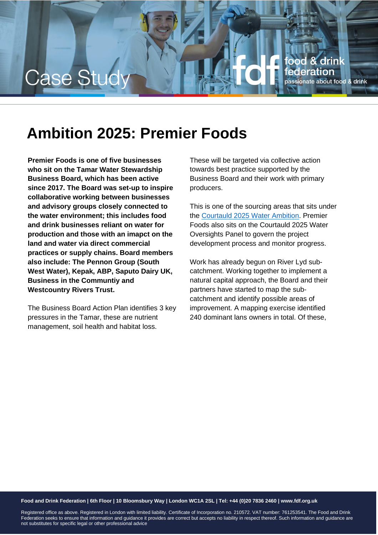

## **Ambition 2025: Premier Foods**

**Premier Foods is one of five businesses who sit on the Tamar Water Stewardship Business Board, which has been active since 2017. The Board was set-up to inspire collaborative working between businesses and advisory groups closely connected to the water environment; this includes food and drink businesses reliant on water for production and those with an imapct on the land and water via direct commercial practices or supply chains. Board members also include: The Pennon Group (South West Water), Kepak, ABP, Saputo Dairy UK, Business in the Communtiy and Westcountry Rivers Trust.**

The Business Board Action Plan identifies 3 key pressures in the Tamar, these are nutrient management, soil health and habitat loss.

These will be targeted via collective action towards best practice supported by the Business Board and their work with primary producers.

This is one of the sourcing areas that sits under the [Courtauld 2025 Water Ambition.](http://www.wrap.org.uk/content/courtauld-2025-water-ambition) Premier Foods also sits on the Courtauld 2025 Water Oversights Panel to govern the project development process and monitor progress.

Work has already begun on River Lyd subcatchment. Working together to implement a natural capital approach, the Board and their partners have started to map the subcatchment and identify possible areas of improvement. A mapping exercise identified 240 dominant lans owners in total. Of these,

#### **Food and Drink Federation | 6th Floor | 10 Bloomsbury Way | London WC1A 2SL | Tel: +44 (0)20 7836 2460 | www.fdf.org.uk**

Registered office as above. Registered in London with limited liability. Certificate of Incorporation no. 210572. VAT number: 761253541. The Food and Drink Federation seeks to ensure that information and guidance it provides are correct but accepts no liability in respect thereof. Such information and guidance are not substitutes for specific legal or other professional advice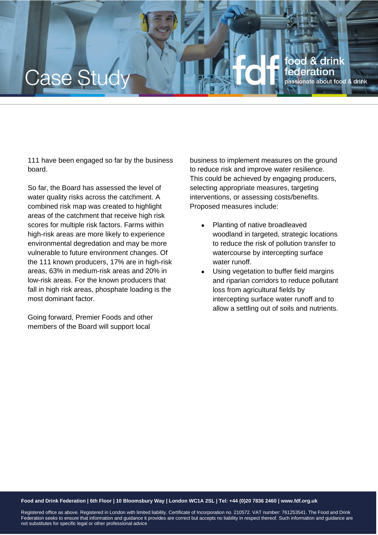# ood & drink Case Stu deration passionate about food & drink

111 have been engaged so far by the business board.

So far, the Board has assessed the level of water quality risks across the catchment. A combined risk map was created to highlight areas of the catchment that receive high risk scores for multiple risk factors. Farms within high-risk areas are more likely to experience environmental degredation and may be more vulnerable to future environment changes. Of the 111 known producers, 17% are in high-risk areas, 63% in medium-risk areas and 20% in low-risk areas. For the known producers that fall in high risk areas, phosphate loading is the most dominant factor.

Going forward, Premier Foods and other members of the Board will support local

business to implement measures on the ground to reduce risk and improve water resilience. This could be achieved by engaging producers, selecting appropriate measures, targeting interventions, or assessing costs/benefits. Proposed measures include:

- Planting of native broadleaved woodland in targeted, strategic locations to reduce the risk of pollution transfer to watercourse by intercepting surface water runoff.
- Using vegetation to buffer field margins and riparian corridors to reduce pollutant loss from agricultural fields by intercepting surface water runoff and to allow a settling out of soils and nutrients.

#### **Food and Drink Federation | 6th Floor | 10 Bloomsbury Way | London WC1A 2SL | Tel: +44 (0)20 7836 2460 | www.fdf.org.uk**

Registered office as above. Registered in London with limited liability. Certificate of Incorporation no. 210572. VAT number: 761253541. The Food and Drink Federation seeks to ensure that information and guidance it provides are correct but accepts no liability in respect thereof. Such information and guidance are not substitutes for specific legal or other professional advice